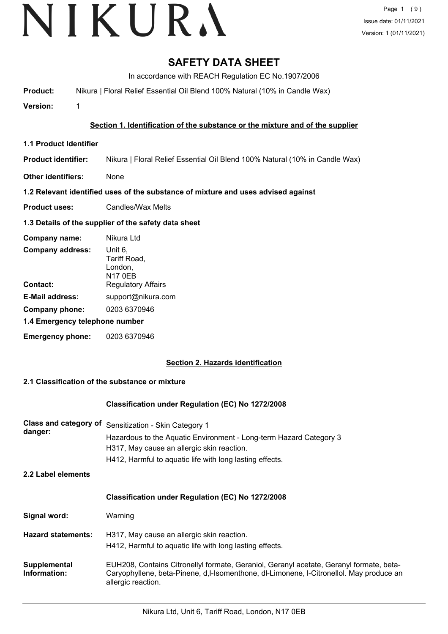# **SAFETY DATA SHEET**

In accordance with REACH Regulation EC No.1907/2006

**Product:** Nikura | Floral Relief Essential Oil Blend 100% Natural (10% in Candle Wax)

**Version:** 1

## **Section 1. Identification of the substance or the mixture and of the supplier**

- **1.1 Product Identifier**
- **Product identifier:** Nikura | Floral Relief Essential Oil Blend 100% Natural (10% in Candle Wax)
- **Other identifiers:** None

## **1.2 Relevant identified uses of the substance of mixture and uses advised against**

**Product uses:** Candles/Wax Melts

## **1.3 Details of the supplier of the safety data sheet**

| Company name:                  | Nikura Ltd                                    |
|--------------------------------|-----------------------------------------------|
| <b>Company address:</b>        | Unit 6,<br>Tariff Road,<br>London,<br>N17 0EB |
| Contact:                       | <b>Regulatory Affairs</b>                     |
| <b>E-Mail address:</b>         | support@nikura.com                            |
| Company phone:                 | 0203 6370946                                  |
| 1.4 Emergency telephone number |                                               |
| <b>Emergency phone:</b>        | 0203 6370946                                  |

## **Section 2. Hazards identification**

## **2.1 Classification of the substance or mixture**

## **Classification under Regulation (EC) No 1272/2008**

| <b>Class and category of</b><br>danger:<br>2.2 Label elements | Sensitization - Skin Category 1<br>Hazardous to the Aquatic Environment - Long-term Hazard Category 3<br>H317, May cause an allergic skin reaction.<br>H412, Harmful to aquatic life with long lasting effects. |
|---------------------------------------------------------------|-----------------------------------------------------------------------------------------------------------------------------------------------------------------------------------------------------------------|
|                                                               | <b>Classification under Regulation (EC) No 1272/2008</b>                                                                                                                                                        |
| Signal word:                                                  | Warning                                                                                                                                                                                                         |
| <b>Hazard statements:</b>                                     | H317, May cause an allergic skin reaction.<br>H412, Harmful to aquatic life with long lasting effects.                                                                                                          |
| Supplemental<br>Information:                                  | EUH208, Contains Citronellyl formate, Geraniol, Geranyl acetate, Geranyl formate, beta-<br>Caryophyllene, beta-Pinene, d, I-Isomenthone, dI-Limonene, I-Citronellol. May produce an<br>allergic reaction.       |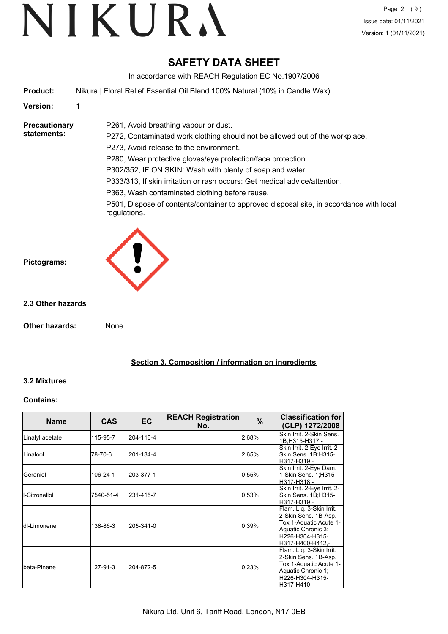# **SAFETY DATA SHEET**

In accordance with REACH Regulation EC No.1907/2006

**Product:** Nikura | Floral Relief Essential Oil Blend 100% Natural (10% in Candle Wax)

P261, Avoid breathing vapour or dust.

## **Version:** 1

**Precautionary statements:**

P272, Contaminated work clothing should not be allowed out of the workplace. P273, Avoid release to the environment. P280, Wear protective gloves/eye protection/face protection. P302/352, IF ON SKIN: Wash with plenty of soap and water. P333/313, If skin irritation or rash occurs: Get medical advice/attention.

P363, Wash contaminated clothing before reuse.

P501, Dispose of contents/container to approved disposal site, in accordance with local regulations.



## **2.3 Other hazards**

**Other hazards:** None

**Section 3. Composition / information on ingredients**

## **3.2 Mixtures**

## **Contains:**

| <b>Name</b>          | <b>CAS</b> | EC.       | <b>REACH Registration</b><br>No. | $\%$  | <b>Classification for</b><br>(CLP) 1272/2008                                                                                            |
|----------------------|------------|-----------|----------------------------------|-------|-----------------------------------------------------------------------------------------------------------------------------------------|
| Linalyl acetate      | 115-95-7   | 204-116-4 |                                  | 2.68% | Skin Irrit, 2-Skin Sens.<br>1B;H315-H317.-                                                                                              |
| <b>I</b> Linalool    | 78-70-6    | 201-134-4 |                                  | 2.65% | Skin Irrit. 2-Eye Irrit. 2-<br>Skin Sens. 1B:H315-<br>H317-H319.-                                                                       |
| <b>I</b> Geraniol    | 106-24-1   | 203-377-1 |                                  | 0.55% | Skin Irrit. 2-Eye Dam.<br>1-Skin Sens. 1;H315-<br>H317-H318.-                                                                           |
| II-Citronellol       | 7540-51-4  | 231-415-7 |                                  | 0.53% | Skin Irrit. 2-Eye Irrit. 2-<br>Skin Sens. 1B;H315-<br>H317-H319,-                                                                       |
| <b>I</b> dl-Limonene | 138-86-3   | 205-341-0 |                                  | 0.39% | Flam. Liq. 3-Skin Irrit.<br>2-Skin Sens. 1B-Asp.<br>Tox 1-Aquatic Acute 1-<br>Aquatic Chronic 3:<br>H226-H304-H315-<br>H317-H400-H412,- |
| lbeta-Pinene         | 127-91-3   | 204-872-5 |                                  | 0.23% | Flam. Liq. 3-Skin Irrit.<br>2-Skin Sens. 1B-Asp.<br>Tox 1-Aquatic Acute 1-<br>Aquatic Chronic 1;<br>H226-H304-H315-<br>H317-H410,-      |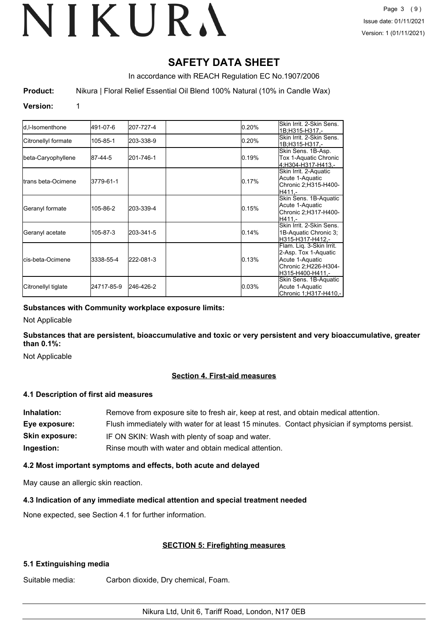# **SAFETY DATA SHEET**

In accordance with REACH Regulation EC No.1907/2006

**Product:** Nikura | Floral Relief Essential Oil Blend 100% Natural (10% in Candle Wax)

## **Version:** 1

|                           |            |           |       | Skin Irrit, 2-Skin Sens. |
|---------------------------|------------|-----------|-------|--------------------------|
| ld.I-Isomenthone          | 491-07-6   | 207-727-4 | 0.20% | 1B;H315-H317,-           |
| Citronellyl formate       | 105-85-1   | 203-338-9 | 0.20% | Skin Irrit, 2-Skin Sens. |
|                           |            |           |       | 1B;H315-H317,-           |
|                           |            |           |       | Skin Sens. 1B-Asp.       |
| beta-Caryophyllene        | 87-44-5    | 201-746-1 | 0.19% | Tox 1-Aquatic Chronic    |
|                           |            |           |       | 4:H304-H317-H413.-       |
|                           |            |           |       | Skin Irrit. 2-Aquatic    |
|                           |            |           |       | Acute 1-Aquatic          |
| Itrans beta-Ocimene       | 3779-61-1  |           | 0.17% | Chronic 2; H315-H400-    |
|                           |            |           |       | H411.-                   |
|                           |            |           |       | Skin Sens. 1B-Aquatic    |
|                           |            |           |       | Acute 1-Aquatic          |
| Geranyl formate           | 105-86-2   | 203-339-4 | 0.15% | Chronic 2; H317-H400-    |
|                           |            |           |       | H411 -                   |
|                           |            |           |       | Skin Irrit, 2-Skin Sens. |
| Geranyl acetate           | 105-87-3   | 203-341-5 | 0.14% | 1B-Aquatic Chronic 3;    |
|                           |            |           |       | H315-H317-H412.-         |
|                           |            |           |       | Flam. Liq. 3-Skin Irrit. |
|                           |            |           |       | 2-Asp. Tox 1-Aquatic     |
| <b>I</b> cis-beta-Ocimene | 3338-55-4  | 222-081-3 | 0.13% | Acute 1-Aquatic          |
|                           |            |           |       | Chronic 2; H226-H304-    |
|                           |            |           |       |                          |
|                           |            |           |       | H315-H400-H411.-         |
|                           |            |           |       | Skin Sens. 1B-Aquatic    |
| Citronellyl tiglate       | 24717-85-9 | 246-426-2 | 0.03% | Acute 1-Aquatic          |
|                           |            |           |       | Chronic 1; H317-H410,-   |

## **Substances with Community workplace exposure limits:**

Not Applicable

**Substances that are persistent, bioaccumulative and toxic or very persistent and very bioaccumulative, greater than 0.1%:**

Not Applicable

## **Section 4. First-aid measures**

## **4.1 Description of first aid measures**

| Inhalation:    | Remove from exposure site to fresh air, keep at rest, and obtain medical attention.          |
|----------------|----------------------------------------------------------------------------------------------|
| Eye exposure:  | Flush immediately with water for at least 15 minutes. Contact physician if symptoms persist. |
| Skin exposure: | IF ON SKIN: Wash with plenty of soap and water.                                              |
| Ingestion:     | Rinse mouth with water and obtain medical attention.                                         |

## **4.2 Most important symptoms and effects, both acute and delayed**

May cause an allergic skin reaction.

## **4.3 Indication of any immediate medical attention and special treatment needed**

None expected, see Section 4.1 for further information.

## **SECTION 5: Firefighting measures**

## **5.1 Extinguishing media**

Suitable media: Carbon dioxide, Dry chemical, Foam.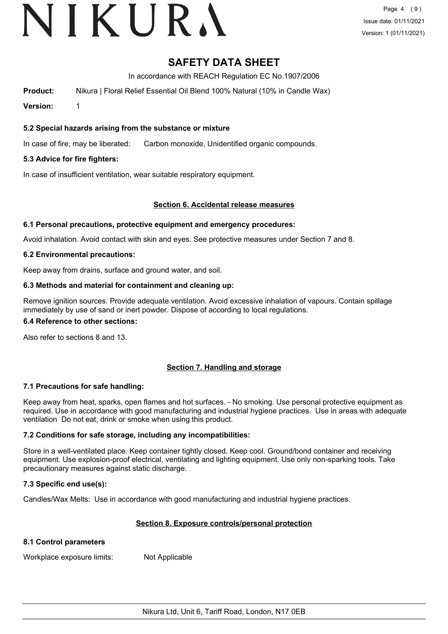# VIKURA

# **SAFETY DATA SHEET**

In accordance with REACH Regulation EC No.1907/2006

**Product:** Nikura | Floral Relief Essential Oil Blend 100% Natural (10% in Candle Wax)

**Version:** 1

## **5.2 Special hazards arising from the substance or mixture**

In case of fire, may be liberated: Carbon monoxide, Unidentified organic compounds.

## **5.3 Advice for fire fighters:**

In case of insufficient ventilation, wear suitable respiratory equipment.

## **Section 6. Accidental release measures**

## **6.1 Personal precautions, protective equipment and emergency procedures:**

Avoid inhalation. Avoid contact with skin and eyes. See protective measures under Section 7 and 8.

## **6.2 Environmental precautions:**

Keep away from drains, surface and ground water, and soil.

## **6.3 Methods and material for containment and cleaning up:**

Remove ignition sources. Provide adequate ventilation. Avoid excessive inhalation of vapours. Contain spillage immediately by use of sand or inert powder. Dispose of according to local regulations.

## **6.4 Reference to other sections:**

Also refer to sections 8 and 13.

## **Section 7. Handling and storage**

## **7.1 Precautions for safe handling:**

Keep away from heat, sparks, open flames and hot surfaces. - No smoking. Use personal protective equipment as required. Use in accordance with good manufacturing and industrial hygiene practices. Use in areas with adequate ventilation Do not eat, drink or smoke when using this product.

## **7.2 Conditions for safe storage, including any incompatibilities:**

Store in a well-ventilated place. Keep container tightly closed. Keep cool. Ground/bond container and receiving equipment. Use explosion-proof electrical, ventilating and lighting equipment. Use only non-sparking tools. Take precautionary measures against static discharge.

## **7.3 Specific end use(s):**

Candles/Wax Melts: Use in accordance with good manufacturing and industrial hygiene practices.

## **Section 8. Exposure controls/personal protection**

## **8.1 Control parameters**

Workplace exposure limits: Not Applicable

Nikura Ltd, Unit 6, Tariff Road, London, N17 0EB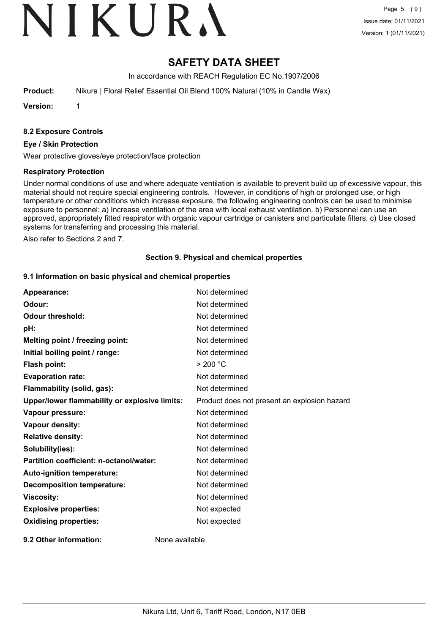# VIKURA

# **SAFETY DATA SHEET**

In accordance with REACH Regulation EC No.1907/2006

**Product:** Nikura | Floral Relief Essential Oil Blend 100% Natural (10% in Candle Wax)

**Version:** 1

## **8.2 Exposure Controls**

#### **Eye / Skin Protection**

Wear protective gloves/eye protection/face protection

## **Respiratory Protection**

Under normal conditions of use and where adequate ventilation is available to prevent build up of excessive vapour, this material should not require special engineering controls. However, in conditions of high or prolonged use, or high temperature or other conditions which increase exposure, the following engineering controls can be used to minimise exposure to personnel: a) Increase ventilation of the area with local exhaust ventilation. b) Personnel can use an approved, appropriately fitted respirator with organic vapour cartridge or canisters and particulate filters. c) Use closed systems for transferring and processing this material.

Also refer to Sections 2 and 7.

## **Section 9. Physical and chemical properties**

#### **9.1 Information on basic physical and chemical properties**

| Appearance:                                   | Not determined                               |
|-----------------------------------------------|----------------------------------------------|
| Odour:                                        | Not determined                               |
| <b>Odour threshold:</b>                       | Not determined                               |
| pH:                                           | Not determined                               |
| Melting point / freezing point:               | Not determined                               |
| Initial boiling point / range:                | Not determined                               |
| Flash point:                                  | > 200 °C                                     |
| <b>Evaporation rate:</b>                      | Not determined                               |
| Flammability (solid, gas):                    | Not determined                               |
| Upper/lower flammability or explosive limits: | Product does not present an explosion hazard |
| Vapour pressure:                              | Not determined                               |
| Vapour density:                               | Not determined                               |
| <b>Relative density:</b>                      | Not determined                               |
| Solubility(ies):                              | Not determined                               |
| Partition coefficient: n-octanol/water:       | Not determined                               |
| Auto-ignition temperature:                    | Not determined                               |
| <b>Decomposition temperature:</b>             | Not determined                               |
| <b>Viscosity:</b>                             | Not determined                               |
| <b>Explosive properties:</b>                  | Not expected                                 |
| <b>Oxidising properties:</b>                  | Not expected                                 |
| 9.2 Other information:                        | None available                               |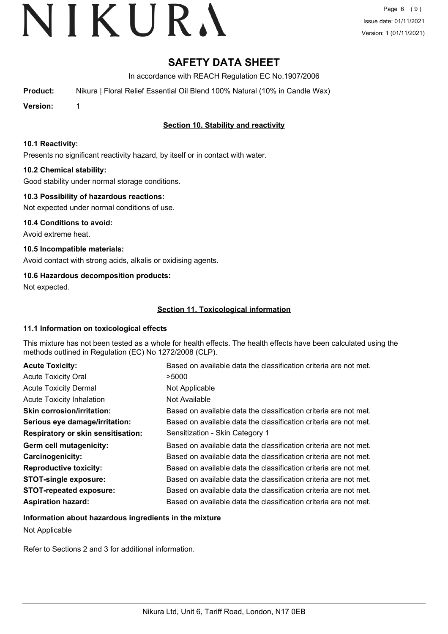# **SAFETY DATA SHEET**

In accordance with REACH Regulation EC No.1907/2006

**Product:** Nikura | Floral Relief Essential Oil Blend 100% Natural (10% in Candle Wax)

**Version:** 1

# **Section 10. Stability and reactivity**

## **10.1 Reactivity:**

Presents no significant reactivity hazard, by itself or in contact with water.

## **10.2 Chemical stability:**

Good stability under normal storage conditions.

## **10.3 Possibility of hazardous reactions:**

Not expected under normal conditions of use.

**10.4 Conditions to avoid:** Avoid extreme heat.

**10.5 Incompatible materials:** Avoid contact with strong acids, alkalis or oxidising agents.

## **10.6 Hazardous decomposition products:**

Not expected.

## **Section 11. Toxicological information**

## **11.1 Information on toxicological effects**

This mixture has not been tested as a whole for health effects. The health effects have been calculated using the methods outlined in Regulation (EC) No 1272/2008 (CLP).

| <b>Acute Toxicity:</b>                    | Based on available data the classification criteria are not met. |
|-------------------------------------------|------------------------------------------------------------------|
| <b>Acute Toxicity Oral</b>                | >5000                                                            |
| <b>Acute Toxicity Dermal</b>              | Not Applicable                                                   |
| <b>Acute Toxicity Inhalation</b>          | Not Available                                                    |
| <b>Skin corrosion/irritation:</b>         | Based on available data the classification criteria are not met. |
| Serious eye damage/irritation:            | Based on available data the classification criteria are not met. |
| <b>Respiratory or skin sensitisation:</b> | Sensitization - Skin Category 1                                  |
| Germ cell mutagenicity:                   | Based on available data the classification criteria are not met. |
| <b>Carcinogenicity:</b>                   | Based on available data the classification criteria are not met. |
| <b>Reproductive toxicity:</b>             | Based on available data the classification criteria are not met. |
| <b>STOT-single exposure:</b>              | Based on available data the classification criteria are not met. |
| <b>STOT-repeated exposure:</b>            | Based on available data the classification criteria are not met. |
| <b>Aspiration hazard:</b>                 | Based on available data the classification criteria are not met. |

## **Information about hazardous ingredients in the mixture**

Not Applicable

Refer to Sections 2 and 3 for additional information.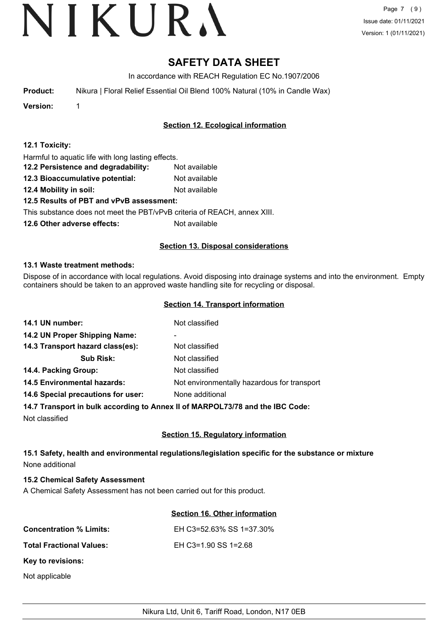Page 7 (9) Issue date: 01/11/2021 Version: 1 (01/11/2021)

# **SAFETY DATA SHEET**

In accordance with REACH Regulation EC No.1907/2006

**Product:** Nikura | Floral Relief Essential Oil Blend 100% Natural (10% in Candle Wax)

**Version:** 1

## **Section 12. Ecological information**

| 12.1 Toxicity: |  |
|----------------|--|
|----------------|--|

Harmful to aquatic life with long lasting effects.

- **12.2 Persistence and degradability:** Not available
- **12.3 Bioaccumulative potential:** Not available
- **12.4 Mobility in soil:** Not available

## **12.5 Results of PBT and vPvB assessment:**

This substance does not meet the PBT/vPvB criteria of REACH, annex XIII.

**12.6 Other adverse effects:** Not available

## **Section 13. Disposal considerations**

## **13.1 Waste treatment methods:**

Dispose of in accordance with local regulations. Avoid disposing into drainage systems and into the environment. Empty containers should be taken to an approved waste handling site for recycling or disposal.

## **Section 14. Transport information**

| 14.1 UN number:                    | Not classified                              |
|------------------------------------|---------------------------------------------|
| 14.2 UN Proper Shipping Name:      | ۰                                           |
| 14.3 Transport hazard class(es):   | Not classified                              |
| <b>Sub Risk:</b>                   | Not classified                              |
| 14.4. Packing Group:               | Not classified                              |
| <b>14.5 Environmental hazards:</b> | Not environmentally hazardous for transport |
| 14.6 Special precautions for user: | None additional                             |
|                                    |                                             |

## **14.7 Transport in bulk according to Annex II of MARPOL73/78 and the IBC Code:**

Not classified

## **Section 15. Regulatory information**

## **15.1 Safety, health and environmental regulations/legislation specific for the substance or mixture** None additional

## **15.2 Chemical Safety Assessment**

A Chemical Safety Assessment has not been carried out for this product.

## **Section 16. Other information**

| <b>Concentration % Limits:</b>  | EH C3=52.63% SS 1=37.30% |
|---------------------------------|--------------------------|
| <b>Total Fractional Values:</b> | EH C3=1.90 SS 1=2.68     |
| Key to revisions:               |                          |
| Not applicable                  |                          |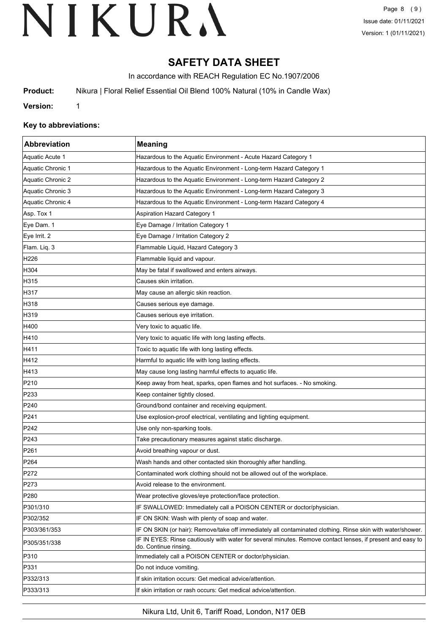# **SAFETY DATA SHEET**

In accordance with REACH Regulation EC No.1907/2006

**Product:** Nikura | Floral Relief Essential Oil Blend 100% Natural (10% in Candle Wax)

**Version:** 1

## **Key to abbreviations:**

| Abbreviation      | <b>Meaning</b>                                                                                                                      |
|-------------------|-------------------------------------------------------------------------------------------------------------------------------------|
| Aquatic Acute 1   | Hazardous to the Aquatic Environment - Acute Hazard Category 1                                                                      |
| Aquatic Chronic 1 | Hazardous to the Aquatic Environment - Long-term Hazard Category 1                                                                  |
| Aquatic Chronic 2 | Hazardous to the Aquatic Environment - Long-term Hazard Category 2                                                                  |
| Aquatic Chronic 3 | Hazardous to the Aquatic Environment - Long-term Hazard Category 3                                                                  |
| Aquatic Chronic 4 | Hazardous to the Aquatic Environment - Long-term Hazard Category 4                                                                  |
| Asp. Tox 1        | <b>Aspiration Hazard Category 1</b>                                                                                                 |
| Eye Dam. 1        | Eye Damage / Irritation Category 1                                                                                                  |
| Eye Irrit. 2      | Eye Damage / Irritation Category 2                                                                                                  |
| Flam. Liq. 3      | Flammable Liquid, Hazard Category 3                                                                                                 |
| H226              | Flammable liquid and vapour.                                                                                                        |
| H304              | May be fatal if swallowed and enters airways.                                                                                       |
| H315              | Causes skin irritation.                                                                                                             |
| H317              | May cause an allergic skin reaction.                                                                                                |
| H318              | Causes serious eye damage.                                                                                                          |
| H319              | Causes serious eye irritation.                                                                                                      |
| H400              | Very toxic to aquatic life.                                                                                                         |
| H410              | Very toxic to aquatic life with long lasting effects.                                                                               |
| H411              | Toxic to aquatic life with long lasting effects.                                                                                    |
| H412              | Harmful to aquatic life with long lasting effects.                                                                                  |
| H413              | May cause long lasting harmful effects to aquatic life.                                                                             |
| P210              | Keep away from heat, sparks, open flames and hot surfaces. - No smoking.                                                            |
| P233              | Keep container tightly closed.                                                                                                      |
| P240              | Ground/bond container and receiving equipment.                                                                                      |
| P241              | Use explosion-proof electrical, ventilating and lighting equipment.                                                                 |
| P242              | Use only non-sparking tools.                                                                                                        |
| P243              | Take precautionary measures against static discharge.                                                                               |
| P261              | Avoid breathing vapour or dust.                                                                                                     |
| P <sub>264</sub>  | Wash hands and other contacted skin thoroughly after handling.                                                                      |
| P272              | Contaminated work clothing should not be allowed out of the workplace                                                               |
| P273              | Avoid release to the environment.                                                                                                   |
| P280              | Wear protective gloves/eye protection/face protection.                                                                              |
| P301/310          | IF SWALLOWED: Immediately call a POISON CENTER or doctor/physician.                                                                 |
| P302/352          | IF ON SKIN: Wash with plenty of soap and water.                                                                                     |
| P303/361/353      | IF ON SKIN (or hair): Remove/take off immediately all contaminated clothing. Rinse skin with water/shower.                          |
| P305/351/338      | IF IN EYES: Rinse cautiously with water for several minutes. Remove contact lenses, if present and easy to<br>do. Continue rinsing. |
| P310              | Immediately call a POISON CENTER or doctor/physician.                                                                               |
| P331              | Do not induce vomiting.                                                                                                             |
| P332/313          | If skin irritation occurs: Get medical advice/attention.                                                                            |
| P333/313          | If skin irritation or rash occurs: Get medical advice/attention.                                                                    |